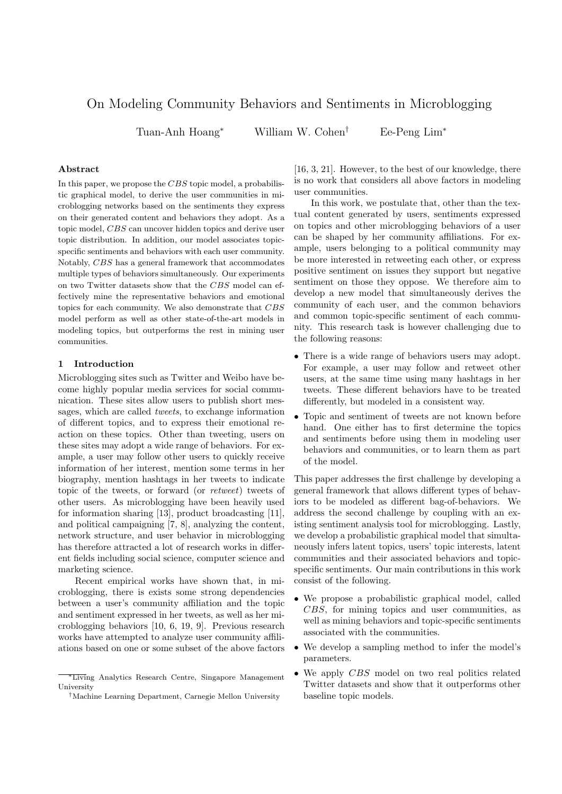# On Modeling Community Behaviors and Sentiments in Microblogging

Tuan-Anh Hoang*<sup>∗</sup>* William W. Cohen*†* Ee-Peng Lim*<sup>∗</sup>*

# **Abstract**

In this paper, we propose the *CBS* topic model, a probabilistic graphical model, to derive the user communities in microblogging networks based on the sentiments they express on their generated content and behaviors they adopt. As a topic model, *CBS* can uncover hidden topics and derive user topic distribution. In addition, our model associates topicspecific sentiments and behaviors with each user community. Notably, *CBS* has a general framework that accommodates multiple types of behaviors simultaneously. Our experiments on two Twitter datasets show that the *CBS* model can effectively mine the representative behaviors and emotional topics for each community. We also demonstrate that *CBS* model perform as well as other state-of-the-art models in modeling topics, but outperforms the rest in mining user communities.

## **1 Introduction**

Microblogging sites such as Twitter and Weibo have become highly popular media services for social communication. These sites allow users to publish short messages, which are called *tweets*, to exchange information of different topics, and to express their emotional reaction on these topics. Other than tweeting, users on these sites may adopt a wide range of behaviors. For example, a user may follow other users to quickly receive information of her interest, mention some terms in her biography, mention hashtags in her tweets to indicate topic of the tweets, or forward (or *retweet*) tweets of other users. As microblogging have been heavily used for information sharing [13], product broadcasting [11], and political campaigning [7, 8], analyzing the content, network structure, and user behavior in microblogging has therefore attracted a lot of research works in different fields including social science, computer science and marketing science.

Recent empirical works have shown that, in microblogging, there is exists some strong dependencies between a user's community affiliation and the topic and sentiment expressed in her tweets, as well as her microblogging behaviors [10, 6, 19, 9]. Previous research works have attempted to analyze user community affiliations based on one or some subset of the above factors

[16, 3, 21]. However, to the best of our knowledge, there is no work that considers all above factors in modeling user communities.

In this work, we postulate that, other than the textual content generated by users, sentiments expressed on topics and other microblogging behaviors of a user can be shaped by her community affiliations. For example, users belonging to a political community may be more interested in retweeting each other, or express positive sentiment on issues they support but negative sentiment on those they oppose. We therefore aim to develop a new model that simultaneously derives the community of each user, and the common behaviors and common topic-specific sentiment of each community. This research task is however challenging due to the following reasons:

- There is a wide range of behaviors users may adopt. For example, a user may follow and retweet other users, at the same time using many hashtags in her tweets. These different behaviors have to be treated differently, but modeled in a consistent way.
- *•* Topic and sentiment of tweets are not known before hand. One either has to first determine the topics and sentiments before using them in modeling user behaviors and communities, or to learn them as part of the model.

This paper addresses the first challenge by developing a general framework that allows different types of behaviors to be modeled as different bag-of-behaviors. We address the second challenge by coupling with an existing sentiment analysis tool for microblogging. Lastly, we develop a probabilistic graphical model that simultaneously infers latent topics, users' topic interests, latent communities and their associated behaviors and topicspecific sentiments. Our main contributions in this work consist of the following.

- *•* We propose a probabilistic graphical model, called *CBS*, for mining topics and user communities, as well as mining behaviors and topic-specific sentiments associated with the communities.
- We develop a sampling method to infer the model's parameters.
- *•* We apply *CBS* model on two real politics related Twitter datasets and show that it outperforms other baseline topic models.

*<sup>∗</sup>*Living Analytics Research Centre, Singapore Management University

*<sup>†</sup>*Machine Learning Department, Carnegie Mellon University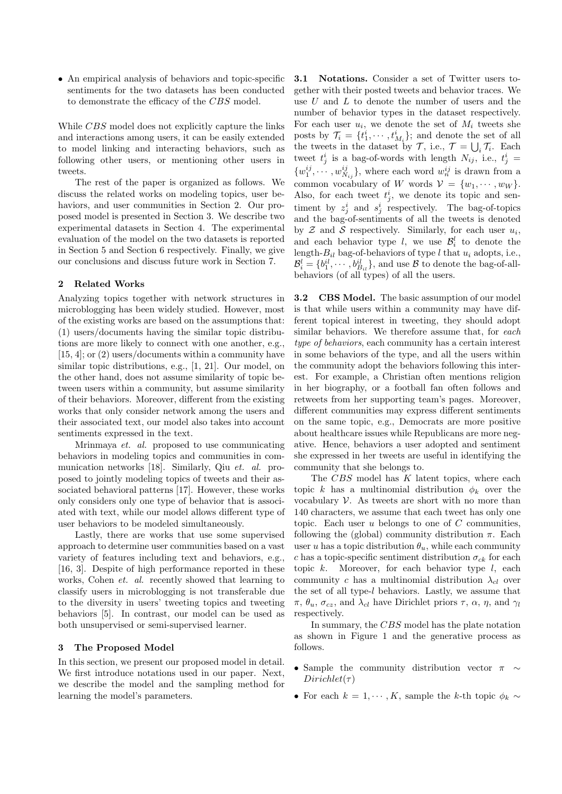*•* An empirical analysis of behaviors and topic-specific sentiments for the two datasets has been conducted to demonstrate the efficacy of the *CBS* model.

While *CBS* model does not explicitly capture the links and interactions among users, it can be easily extended to model linking and interacting behaviors, such as following other users, or mentioning other users in tweets.

The rest of the paper is organized as follows. We discuss the related works on modeling topics, user behaviors, and user communities in Section 2. Our proposed model is presented in Section 3. We describe two experimental datasets in Section 4. The experimental evaluation of the model on the two datasets is reported in Section 5 and Section 6 respectively. Finally, we give our conclusions and discuss future work in Section 7.

# **2 Related Works**

Analyzing topics together with network structures in microblogging has been widely studied. However, most of the existing works are based on the assumptions that: (1) users/documents having the similar topic distributions are more likely to connect with one another, e.g., [15, 4]; or (2) users/documents within a community have similar topic distributions, e.g., [1, 21]. Our model, on the other hand, does not assume similarity of topic between users within a community, but assume similarity of their behaviors. Moreover, different from the existing works that only consider network among the users and their associated text, our model also takes into account sentiments expressed in the text.

Mrinmaya *et. al.* proposed to use communicating behaviors in modeling topics and communities in communication networks [18]. Similarly, Qiu *et. al.* proposed to jointly modeling topics of tweets and their associated behavioral patterns [17]. However, these works only considers only one type of behavior that is associated with text, while our model allows different type of user behaviors to be modeled simultaneously.

Lastly, there are works that use some supervised approach to determine user communities based on a vast variety of features including text and behaviors, e.g., [16, 3]. Despite of high performance reported in these works, Cohen *et. al.* recently showed that learning to classify users in microblogging is not transferable due to the diversity in users' tweeting topics and tweeting behaviors [5]. In contrast, our model can be used as both unsupervised or semi-supervised learner.

### **3 The Proposed Model**

In this section, we present our proposed model in detail. We first introduce notations used in our paper. Next, we describe the model and the sampling method for learning the model's parameters.

**3.1 Notations.** Consider a set of Twitter users together with their posted tweets and behavior traces. We use *U* and *L* to denote the number of users and the number of behavior types in the dataset respectively. For each user  $u_i$ , we denote the set of  $M_i$  tweets she posts by  $\mathcal{T}_i = \{t^i_1, \dots, t^i_{M_i}\}$ ; and denote the set of all the tweets in the dataset by  $\mathcal{T}$ , i.e.,  $\mathcal{T} = \bigcup_i \mathcal{T}_i$ . Each tweet  $t_j^i$  is a bag-of-words with length  $N_{ij}$ , i.e.,  $t_j^i$  =  $\{w_1^{ij}, \cdots, w_{N_{ij}}^{ij}\}$ , where each word  $w_n^{ij}$  is drawn from a common vocabulary of *W* words  $V = \{w_1, \dots, w_W\}$ . Also, for each tweet  $t_j^i$ , we denote its topic and sentiment by  $z_j^i$  and  $s_j^i$  respectively. The bag-of-topics and the bag-of-sentiments of all the tweets is denoted by  $Z$  and  $S$  respectively. Similarly, for each user  $u_i$ , and each behavior type *l*, we use  $\mathcal{B}_i^l$  to denote the length- $B_{il}$  bag-of-behaviors of type *l* that  $u_i$  adopts, i.e.,  $\mathcal{B}_i^l = \{b_1^{il}, \cdots, b_{B_{il}}^{il}\}$ , and use *B* to denote the bag-of-allbehaviors (of all types) of all the users.

**3.2 CBS Model.** The basic assumption of our model is that while users within a community may have different topical interest in tweeting, they should adopt similar behaviors. We therefore assume that, for *each type of behaviors*, each community has a certain interest in some behaviors of the type, and all the users within the community adopt the behaviors following this interest. For example, a Christian often mentions religion in her biography, or a football fan often follows and retweets from her supporting team's pages. Moreover, different communities may express different sentiments on the same topic, e.g., Democrats are more positive about healthcare issues while Republicans are more negative. Hence, behaviors a user adopted and sentiment she expressed in her tweets are useful in identifying the community that she belongs to.

The *CBS* model has *K* latent topics, where each topic *k* has a multinomial distribution  $\phi_k$  over the vocabulary *V*. As tweets are short with no more than 140 characters, we assume that each tweet has only one topic. Each user *u* belongs to one of *C* communities, following the (global) community distribution  $\pi$ . Each user *u* has a topic distribution  $\theta_u$ , while each community *c* has a topic-specific sentiment distribution  $\sigma_{ck}$  for each topic *k*. Moreover, for each behavior type *l*, each community *c* has a multinomial distribution  $\lambda_{cl}$  over the set of all type-*l* behaviors. Lastly, we assume that *π*,  $θ$ <sup>*u*</sup>,  $σ$ <sub>*cz*</sub>, and  $λ$ <sup>*cl*</sup> have Dirichlet priors *τ*,  $α$ ,  $η$ , and  $γ$ *l* respectively.

In summary, the *CBS* model has the plate notation as shown in Figure 1 and the generative process as follows.

- *•* Sample the community distribution vector *π ∼*  $Dirichlet(\tau)$
- For each  $k = 1, \dots, K$ , sample the *k*-th topic  $\phi_k \sim$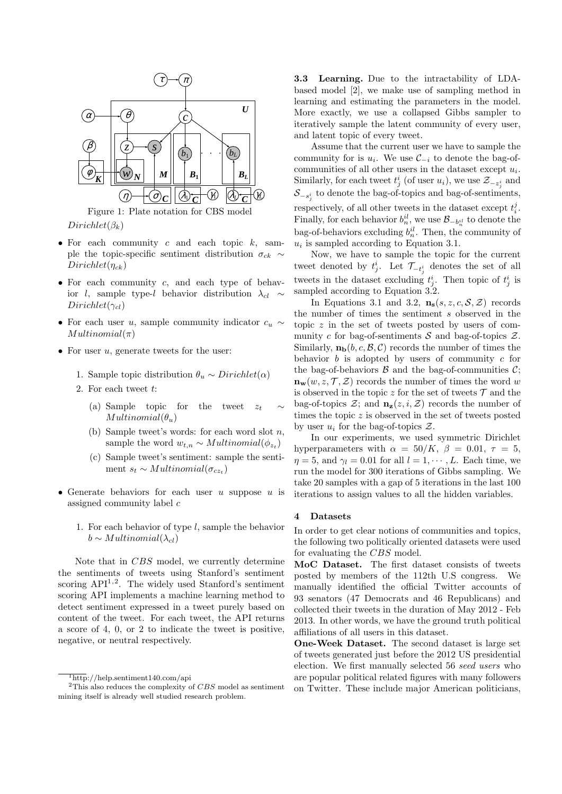

 $Dirichlet(\beta_k)$ 

- *•* For each community *c* and each topic *k*, sample the topic-specific sentiment distribution  $\sigma_{ck} \sim$ *Dirichlet*(*ηck*)
- *•* For each community *c*, and each type of behavior *l*, sample type-*l* behavior distribution  $\lambda_{cl} \sim$  $Dirichlet(\gamma_{cl})$
- *•* For each user *u*, sample community indicator *c<sup>u</sup> ∼ Multinomial*(*π*)
- *•* For user *u*, generate tweets for the user:
	- 1. Sample topic distribution  $\theta_u \sim Dirichlet(\alpha)$
	- 2. For each tweet *t*:
		- (a) Sample topic for the tweet  $z_t$  $Multinomial(\theta_u)$
		- (b) Sample tweet's words: for each word slot *n*, sample the word  $w_{t,n} \sim Multinomial(\phi_{z_t})$
		- (c) Sample tweet's sentiment: sample the sentiment  $s_t \sim Multinomial(\sigma_{cz_t})$
- *•* Generate behaviors for each user *u* suppose *u* is assigned community label *c*
	- 1. For each behavior of type *l*, sample the behavior *b* ∼ *Multinomial*( $λ<sub>cl</sub>$ )

Note that in *CBS* model, we currently determine the sentiments of tweets using Stanford's sentiment scoring API<sup>1,2</sup>. The widely used Stanford's sentiment scoring API implements a machine learning method to detect sentiment expressed in a tweet purely based on content of the tweet. For each tweet, the API returns a score of 4, 0, or 2 to indicate the tweet is positive, negative, or neutral respectively.

**3.3 Learning.** Due to the intractability of LDAbased model [2], we make use of sampling method in learning and estimating the parameters in the model. More exactly, we use a collapsed Gibbs sampler to iteratively sample the latent community of every user, and latent topic of every tweet.

Assume that the current user we have to sample the community for is  $u_i$ . We use  $\mathcal{C}_{-i}$  to denote the bag-ofcommunities of all other users in the dataset except *u<sup>i</sup>* . Similarly, for each tweet  $t_j^i$  (of user  $u_i$ ), we use  $\mathcal{Z}_{-z_j^i}$  and  $\mathcal{S}_{-s_j^i}$  to denote the bag-of-topics and bag-of-sentiments, respectively, of all other tweets in the dataset except  $t_i^j$ . Finally, for each behavior  $b_n^il$ , we use  $\mathcal{B}_{-b_n^{il}}$  to denote the bag-of-behaviors excluding  $b_n^{il}$ . Then, the community of  $u_i$  is sampled according to Equation 3.1.

Now, we have to sample the topic for the current tweet denoted by  $t_j^i$ . Let  $\mathcal{T}_{-t_j^i}$  denotes the set of all tweets in the dataset excluding  $t_j^i$ . Then topic of  $t_j^i$  is sampled according to Equation 3.2.

In Equations 3.1 and 3.2,  $\mathbf{n_s}(s, z, c, \mathcal{S}, \mathcal{Z})$  records the number of times the sentiment *s* observed in the topic *z* in the set of tweets posted by users of community *c* for bag-of-sentiments  $S$  and bag-of-topics  $\mathcal{Z}$ . Similarly,  $\mathbf{n}_b(b, c, \mathcal{B}, \mathcal{C})$  records the number of times the behavior *b* is adopted by users of community *c* for the bag-of-behaviors  $\beta$  and the bag-of-communities  $\beta$ ;  $\mathbf{n_w}(w, z, \mathcal{T}, \mathcal{Z})$  records the number of times the word *w* is observed in the topic  $z$  for the set of tweets  $\mathcal T$  and the bag-of-topics  $\mathcal{Z}$ ; and  $\mathbf{n}_{z}(z, i, \mathcal{Z})$  records the number of times the topic *z* is observed in the set of tweets posted by user  $u_i$  for the bag-of-topics  $Z$ .

In our experiments, we used symmetric Dirichlet hyperparameters with  $\alpha = 50/K$ ,  $\beta = 0.01$ ,  $\tau = 5$ , *η* = 5, and  $\gamma_l$  = 0.01 for all  $l = 1, \dots, L$ . Each time, we run the model for 300 iterations of Gibbs sampling. We take 20 samples with a gap of 5 iterations in the last 100 iterations to assign values to all the hidden variables.

# **4 Datasets**

In order to get clear notions of communities and topics, the following two politically oriented datasets were used for evaluating the *CBS* model.

**MoC Dataset.** The first dataset consists of tweets posted by members of the 112th U.S congress. We manually identified the official Twitter accounts of 93 senators (47 Democrats and 46 Republicans) and collected their tweets in the duration of May 2012 - Feb 2013. In other words, we have the ground truth political affiliations of all users in this dataset.

**One-Week Dataset.** The second dataset is large set of tweets generated just before the 2012 US presidential election. We first manually selected 56 *seed users* who are popular political related figures with many followers on Twitter. These include major American politicians,

 $\frac{1}{1}$ http://help.sentiment140.com/api

<sup>2</sup>This also reduces the complexity of *CBS* model as sentiment mining itself is already well studied research problem.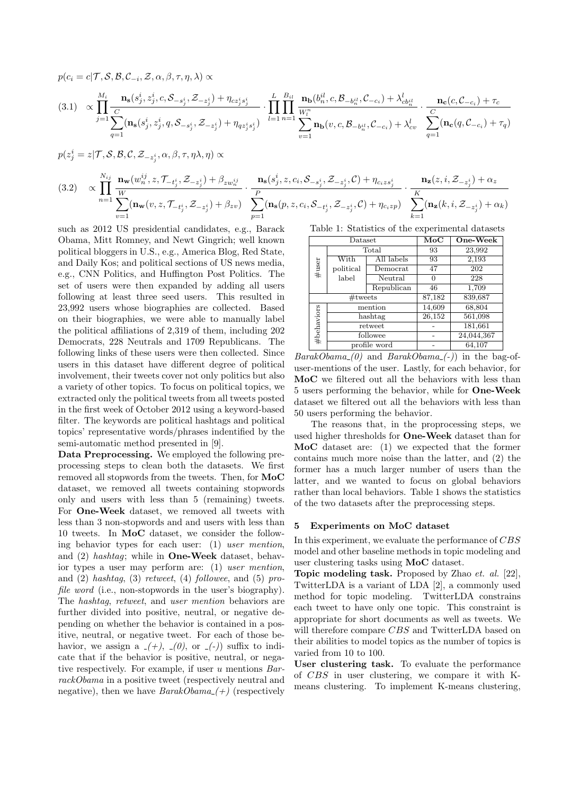$$
p(c_i = c | \mathcal{T}, \mathcal{S}, \mathcal{B}, \mathcal{C}_{-i}, \mathcal{Z}, \alpha, \beta, \tau, \eta, \lambda) \propto
$$
\n
$$
(3.1) \propto \prod_{j=1}^{M_i} \frac{\mathbf{n_s}(s_j^i, z_j^i, c, \mathcal{S}_{-s_j^i}, \mathcal{Z}_{-z_j^i}) + \eta_{cz_j^is_j^i}}{c} \cdot \prod_{l=1}^{L} \prod_{n=1}^{B_{il}} \frac{\mathbf{n_b}(b_n^{il}, c, \mathcal{B}_{-b_n^{il}}, \mathcal{C}_{-c_i}) + \lambda_{cb_n^{il}}^l}{\mathbf{w}_l^r} \cdot \frac{\mathbf{n_c}(c, \mathcal{C}_{-c_i}) + \tau_c}{c} \cdot \frac{\mathbf{n_c}(c, \mathcal{C}_{-c_i}) + \tau_c}{c} \cdot \frac{\mathbf{n_c}(c, \mathcal{C}_{-c_i}) + \tau_c}{c}
$$
\n
$$
= \sum_{q=1}^{J} (\mathbf{n_s}(s_j^i, z_j^i, q, \mathcal{S}_{-s_j^i}, \mathcal{Z}_{-z_j^i}) + \eta_{qz_j^is_j^i}) \cdot \prod_{l=1}^{L} \prod_{n=1}^{B_{il}} \frac{\mathbf{n_b}(b_n^{il}, c, \mathcal{B}_{-b_n^{il}}, \mathcal{C}_{-c_i}) + \lambda_{cb_n}^l}{\sum_{q=1}^{L} (\mathbf{n_c}(q, \mathcal{C}_{-c_i}) + \tau_q)}
$$

$$
p(z_j^i = z | \mathcal{T}, \mathcal{S}, \mathcal{B}, \mathcal{C}, \mathcal{Z}_{-z_j^i}, \alpha, \beta, \tau, \eta \lambda, \eta) \propto
$$
  
\n
$$
(3.2) \quad \propto \prod_{n=1}^{N_{ij}} \frac{\mathbf{n_w}(w_n^{ij}, z, \mathcal{T}_{-t_j^i}, \mathcal{Z}_{-z_j^i}) + \beta_{zw_n^{ij}}}{\sum_{v=1}^{W} (\mathbf{n_w}(v, z, \mathcal{T}_{-t_j^i}, \mathcal{Z}_{-z_j^i}) + \beta_{zv})} \cdot \frac{\mathbf{n_s}(s_j^i, z, c_i, \mathcal{S}_{-s_j^i}, \mathcal{Z}_{-z_j^i}, \mathcal{C}) + \eta_{c_i z s_j^i}}{\sum_{p=1}^{P} (\mathbf{n_s}(p, z, c_i, \mathcal{S}_{-t_j^i}, \mathcal{Z}_{-z_j^i}, \mathcal{C}) + \eta_{c_i z p})} \cdot \frac{\mathbf{n_z}(z, i, \mathcal{Z}_{-z_j^i}) + \alpha_z}{\sum_{k=1}^{K} (\mathbf{n_z}(k, i, \mathcal{Z}_{-z_j^i}) + \alpha_k)}
$$

such as 2012 US presidential candidates, e.g., Barack Obama, Mitt Romney, and Newt Gingrich; well known political bloggers in U.S., e.g., America Blog, Red State, and Daily Kos; and political sections of US news media, e.g., CNN Politics, and Huffington Post Politics. The set of users were then expanded by adding all users following at least three seed users. This resulted in 23,992 users whose biographies are collected. Based on their biographies, we were able to manually label the political affiliations of 2,319 of them, including 202 Democrats, 228 Neutrals and 1709 Republicans. The following links of these users were then collected. Since users in this dataset have different degree of political involvement, their tweets cover not only politics but also a variety of other topics. To focus on political topics, we extracted only the political tweets from all tweets posted in the first week of October 2012 using a keyword-based filter. The keywords are political hashtags and political topics' representative words/phrases indentified by the semi-automatic method presented in [9].

**Data Preprocessing.** We employed the following preprocessing steps to clean both the datasets. We first removed all stopwords from the tweets. Then, for **MoC** dataset, we removed all tweets containing stopwords only and users with less than 5 (remaining) tweets. For **One-Week** dataset, we removed all tweets with less than 3 non-stopwords and and users with less than 10 tweets. In **MoC** dataset, we consider the following behavior types for each user: (1) *user mention*, and (2) *hashtag*; while in **One-Week** dataset, behavior types a user may perform are: (1) *user mention*, and (2) *hashtag*, (3) *retweet*, (4) *followee*, and (5) *profile word* (i.e., non-stopwords in the user's biography). The *hashtag*, *retweet*, and *user mention* behaviors are further divided into positive, neutral, or negative depending on whether the behavior is contained in a positive, neutral, or negative tweet. For each of those behavior, we assign a  $-(+), (0),$  or  $(-)$  suffix to indicate that if the behavior is positive, neutral, or negative respectively. For example, if user *u* mentions *BarrackObama* in a positive tweet (respectively neutral and negative), then we have  $BarakObama$  (+) (respectively

Table 1: Statistics of the experimental datasets

|            | Dataset   |              | $_{\rm MoC}$ | One-Week   |  |  |
|------------|-----------|--------------|--------------|------------|--|--|
| $\#$ user  |           | Total        | 93           | 23,992     |  |  |
|            | With      | All labels   | 93           | 2,193      |  |  |
|            | political | Democrat     | 47           | 202        |  |  |
|            | label     | Neutral      | 0            | 228        |  |  |
|            |           | Republican   | 46           | 1,709      |  |  |
| $#$ tweets |           |              | 87,182       | 839,687    |  |  |
| #behaviors |           | mention      | 14,609       | 68,804     |  |  |
|            |           | hashtag      | 26,152       | 561,098    |  |  |
|            |           | retweet      |              | 181,661    |  |  |
|            |           | followee     |              | 24,044,367 |  |  |
|            |           | profile word |              | 64,107     |  |  |

*BarakObama (0)* and *BarakObama (-)*) in the bag-ofuser-mentions of the user. Lastly, for each behavior, for **MoC** we filtered out all the behaviors with less than 5 users performing the behavior, while for **One-Week** dataset we filtered out all the behaviors with less than 50 users performing the behavior.

The reasons that, in the proprocessing steps, we used higher thresholds for **One-Week** dataset than for **MoC** dataset are: (1) we expected that the former contains much more noise than the latter, and (2) the former has a much larger number of users than the latter, and we wanted to focus on global behaviors rather than local behaviors. Table 1 shows the statistics of the two datasets after the preprocessing steps.

#### **5 Experiments on MoC dataset**

In this experiment, we evaluate the performance of *CBS* model and other baseline methods in topic modeling and user clustering tasks using **MoC** dataset.

**Topic modeling task.** Proposed by Zhao *et. al.* [22], TwitterLDA is a variant of LDA [2], a commonly used method for topic modeling. TwitterLDA constrains each tweet to have only one topic. This constraint is appropriate for short documents as well as tweets. We will therefore compare *CBS* and TwitterLDA based on their abilities to model topics as the number of topics is varied from 10 to 100.

**User clustering task.** To evaluate the performance of *CBS* in user clustering, we compare it with Kmeans clustering. To implement K-means clustering,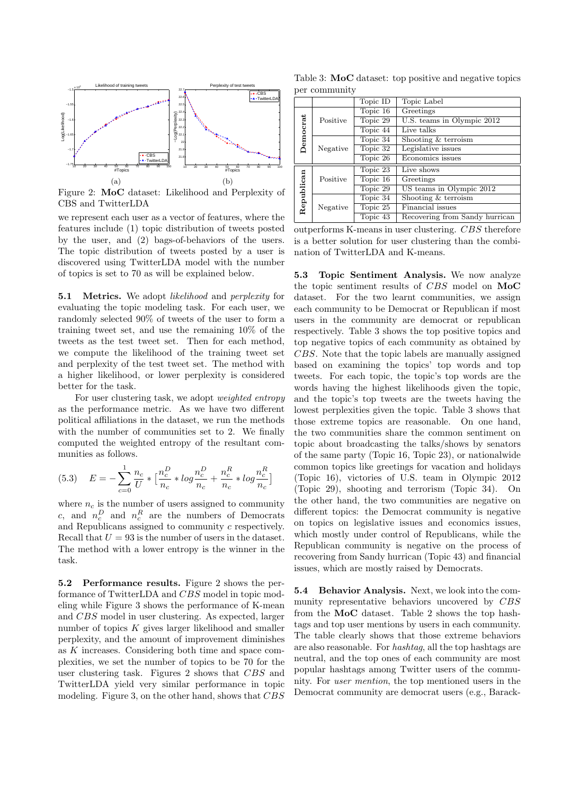

Figure 2: **MoC** dataset: Likelihood and Perplexity of CBS and TwitterLDA

we represent each user as a vector of features, where the features include (1) topic distribution of tweets posted by the user, and (2) bags-of-behaviors of the users. The topic distribution of tweets posted by a user is discovered using TwitterLDA model with the number of topics is set to 70 as will be explained below.

**5.1 Metrics.** We adopt *likelihood* and *perplexity* for evaluating the topic modeling task. For each user, we randomly selected 90% of tweets of the user to form a training tweet set, and use the remaining 10% of the tweets as the test tweet set. Then for each method, we compute the likelihood of the training tweet set and perplexity of the test tweet set. The method with a higher likelihood, or lower perplexity is considered better for the task.

For user clustering task, we adopt *weighted entropy* as the performance metric. As we have two different political affiliations in the dataset, we run the methods with the number of communities set to 2. We finally computed the weighted entropy of the resultant communities as follows.

(5.3) 
$$
E = -\sum_{c=0}^{1} \frac{n_c}{U} * \left[ \frac{n_c^D}{n_c} * log \frac{n_c^D}{n_c} + \frac{n_c^R}{n_c} * log \frac{n_c^R}{n_c} \right]
$$

where  $n_c$  is the number of users assigned to community *c*, and  $n_c^D$  and  $n_c^R$  are the numbers of Democrats and Republicans assigned to community *c* respectively. Recall that  $U = 93$  is the number of users in the dataset. The method with a lower entropy is the winner in the task.

**5.2 Performance results.** Figure 2 shows the performance of TwitterLDA and *CBS* model in topic modeling while Figure 3 shows the performance of K-mean and *CBS* model in user clustering. As expected, larger number of topics *K* gives larger likelihood and smaller perplexity, and the amount of improvement diminishes as *K* increases. Considering both time and space complexities, we set the number of topics to be 70 for the user clustering task. Figures 2 shows that *CBS* and TwitterLDA yield very similar performance in topic modeling. Figure 3, on the other hand, shows that *CBS*

Table 3: **MoC** dataset: top positive and negative topics per community

|            |          | Topic ID | Topic Label                    |
|------------|----------|----------|--------------------------------|
| Democrat   | Positive | Topic 16 | Greetings                      |
|            |          | Topic 29 | U.S. teams in Olympic 2012     |
|            |          | Topic 44 | Live talks                     |
|            | Negative | Topic 34 | Shooting & terroism            |
|            |          | Topic 32 | Legislative issues             |
|            |          | Topic 26 | Economics issues               |
| Republican | Positive | Topic 23 | Live shows                     |
|            |          | Topic 16 | Greetings                      |
|            |          | Topic 29 | US teams in Olympic 2012       |
|            | Negative | Topic 34 | Shooting & terroism            |
|            |          | Topic 25 | Financial issues               |
|            |          | Topic 43 | Recovering from Sandy hurrican |

outperforms K-means in user clustering. *CBS* therefore is a better solution for user clustering than the combination of TwitterLDA and K-means.

**5.3 Topic Sentiment Analysis.** We now analyze the topic sentiment results of *CBS* model on **MoC** dataset. For the two learnt communities, we assign each community to be Democrat or Republican if most users in the community are democrat or republican respectively. Table 3 shows the top positive topics and top negative topics of each community as obtained by *CBS*. Note that the topic labels are manually assigned based on examining the topics' top words and top tweets. For each topic, the topic's top words are the words having the highest likelihoods given the topic, and the topic's top tweets are the tweets having the lowest perplexities given the topic. Table 3 shows that those extreme topics are reasonable. On one hand, the two communities share the common sentiment on topic about broadcasting the talks/shows by senators of the same party (Topic 16, Topic 23), or nationalwide common topics like greetings for vacation and holidays (Topic 16), victories of U.S. team in Olympic 2012 (Topic 29), shooting and terrorism (Topic 34). On the other hand, the two communities are negative on different topics: the Democrat community is negative on topics on legislative issues and economics issues, which mostly under control of Republicans, while the Republican community is negative on the process of recovering from Sandy hurrican (Topic 43) and financial issues, which are mostly raised by Democrats.

**5.4 Behavior Analysis.** Next, we look into the community representative behaviors uncovered by *CBS* from the **MoC** dataset. Table 2 shows the top hashtags and top user mentions by users in each community. The table clearly shows that those extreme behaviors are also reasonable. For *hashtag*, all the top hashtags are neutral, and the top ones of each community are most popular hashtags among Twitter users of the community. For *user mention*, the top mentioned users in the Democrat community are democrat users (e.g., Barack-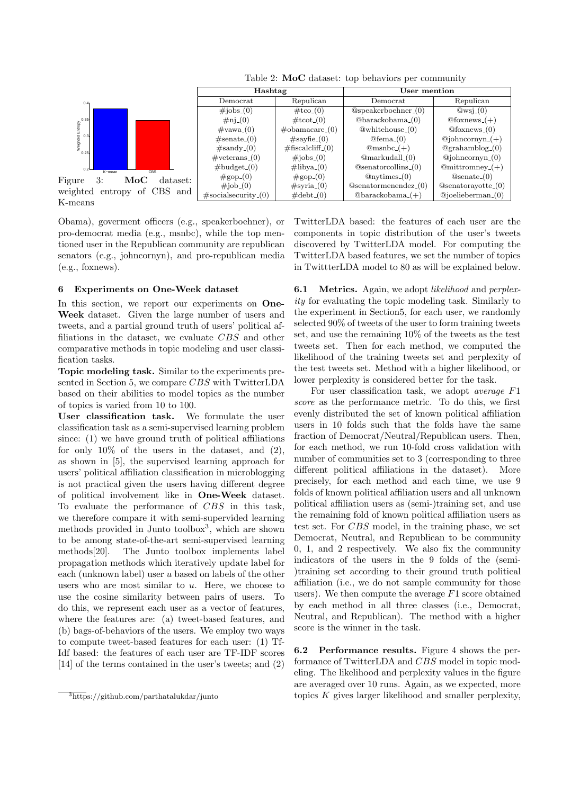

Table 2: **MoC** dataset: top behaviors per community

0.2<sup>L</sup> K–mean CBS  $0.25$ Figure 3: **MoC** dataset: weighted entropy of CBS and K-means

 $0.3$  $0.35 -$  $0.4<sub>0</sub>$ 

Weighted Entropy<br>Co<br>Co

Obama), goverment officers (e.g., speakerboehner), or pro-democrat media (e.g., msnbc), while the top mentioned user in the Republican community are republican senators (e.g., johncornyn), and pro-republican media (e.g., foxnews).

## **6 Experiments on One-Week dataset**

In this section, we report our experiments on **One-Week** dataset. Given the large number of users and tweets, and a partial ground truth of users' political affiliations in the dataset, we evaluate *CBS* and other comparative methods in topic modeling and user classification tasks.

**Topic modeling task.** Similar to the experiments presented in Section 5, we compare *CBS* with TwitterLDA based on their abilities to model topics as the number of topics is varied from 10 to 100.

**User classification task.** We formulate the user classification task as a semi-supervised learning problem since: (1) we have ground truth of political affiliations for only  $10\%$  of the users in the dataset, and (2), as shown in [5], the supervised learning approach for users' political affiliation classification in microblogging is not practical given the users having different degree of political involvement like in **One-Week** dataset. To evaluate the performance of *CBS* in this task, we therefore compare it with semi-supervided learning methods provided in Junto toolbox<sup>3</sup>, which are shown to be among state-of-the-art semi-supervised learning methods[20]. The Junto toolbox implements label propagation methods which iteratively update label for each (unknown label) user *u* based on labels of the other users who are most similar to *u*. Here, we choose to use the cosine similarity between pairs of users. To do this, we represent each user as a vector of features, where the features are: (a) tweet-based features, and (b) bags-of-behaviors of the users. We employ two ways to compute tweet-based features for each user: (1) Tf-Idf based: the features of each user are TF-IDF scores [14] of the terms contained in the user's tweets; and (2) TwitterLDA based: the features of each user are the components in topic distribution of the user's tweets discovered by TwitterLDA model. For computing the TwitterLDA based features, we set the number of topics in TwittterLDA model to 80 as will be explained below.

**6.1 Metrics.** Again, we adopt *likelihood* and *perplexity* for evaluating the topic modeling task. Similarly to the experiment in Section5, for each user, we randomly selected 90% of tweets of the user to form training tweets set, and use the remaining 10% of the tweets as the test tweets set. Then for each method, we computed the likelihood of the training tweets set and perplexity of the test tweets set. Method with a higher likelihood, or lower perplexity is considered better for the task.

For user classification task, we adopt *average F*1 *score* as the performance metric. To do this, we first evenly distributed the set of known political affiliation users in 10 folds such that the folds have the same fraction of Democrat/Neutral/Republican users. Then, for each method, we run 10-fold cross validation with number of communities set to 3 (corresponding to three different political affiliations in the dataset). More precisely, for each method and each time, we use 9 folds of known political affiliation users and all unknown political affiliation users as (semi-)training set, and use the remaining fold of known political affiliation users as test set. For *CBS* model, in the training phase, we set Democrat, Neutral, and Republican to be community 0, 1, and 2 respectively. We also fix the community indicators of the users in the 9 folds of the (semi- )training set according to their ground truth political affiliation (i.e., we do not sample community for those users). We then compute the average *F*1 score obtained by each method in all three classes (i.e., Democrat, Neutral, and Republican). The method with a higher score is the winner in the task.

**6.2 Performance results.** Figure 4 shows the performance of TwitterLDA and *CBS* model in topic modeling. The likelihood and perplexity values in the figure are averaged over 10 runs. Again, as we expected, more topics *K* gives larger likelihood and smaller perplexity,

 $\frac{3}{3}$ https://github.com/parthatalukdar/junto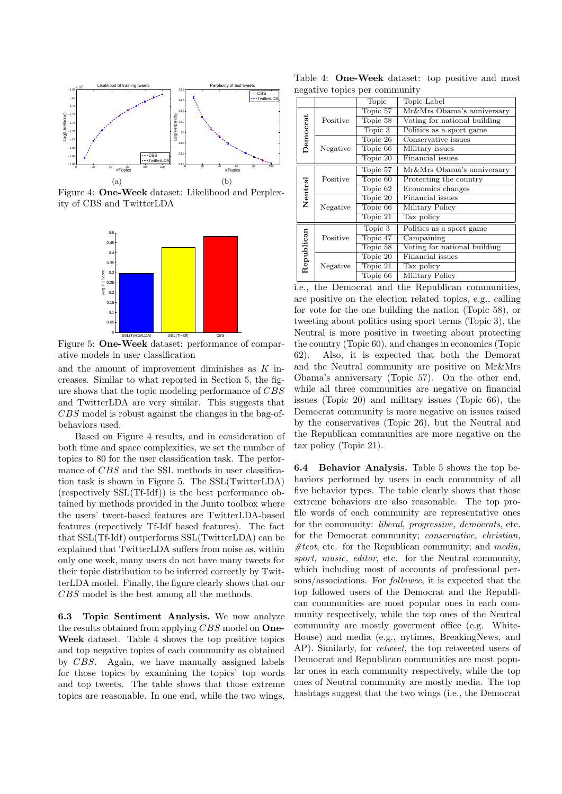

Figure 4: **One-Week** dataset: Likelihood and Perplexity of CBS and TwitterLDA



Figure 5: **One-Week** dataset: performance of comparative models in user classification

and the amount of improvement diminishes as *K* increases. Similar to what reported in Section 5, the figure shows that the topic modeling performance of *CBS* and TwitterLDA are very similar. This suggests that *CBS* model is robust against the changes in the bag-ofbehaviors used.

Based on Figure 4 results, and in consideration of both time and space complexities, we set the number of topics to 80 for the user classification task. The performance of *CBS* and the SSL methods in user classification task is shown in Figure 5. The SSL(TwitterLDA) (respectively SSL(Tf-Idf)) is the best performance obtained by methods provided in the Junto toolbox where the users' tweet-based features are TwitterLDA-based features (repectively Tf-Idf based features). The fact that SSL(Tf-Idf) outperforms SSL(TwitterLDA) can be explained that TwitterLDA suffers from noise as, within only one week, many users do not have many tweets for their topic distribution to be inferred correctly by TwitterLDA model. Finally, the figure clearly shows that our *CBS* model is the best among all the methods.

**6.3 Topic Sentiment Analysis.** We now analyze the results obtained from applying *CBS* model on **One-Week** dataset. Table 4 shows the top positive topics and top negative topics of each community as obtained by *CBS*. Again, we have manually assigned labels for those topics by examining the topics' top words and top tweets. The table shows that those extreme topics are reasonable. In one end, while the two wings,

Table 4: **One-Week** dataset: top positive and most negative topics per community

|          | Topic                        | Topic Label                  |  |  |
|----------|------------------------------|------------------------------|--|--|
| Positive | Topic 57                     | Mr&Mrs Obama's anniversary   |  |  |
|          | Topic 58                     | Voting for national building |  |  |
|          | Topic 3                      | Politics as a sport game     |  |  |
| Negative | Topic 26                     | Conservative issues          |  |  |
|          | Topic 66                     | Military issues              |  |  |
|          | Topic 20                     | Financial issues             |  |  |
| Positive | Topic 57                     | Mr&Mrs Obama's anniversary   |  |  |
|          | Topic 60                     | Protecting the country       |  |  |
|          | Topic 62                     | Economics changes            |  |  |
| Negative | Topic 20                     | Financial issues             |  |  |
|          | Topic 66                     | Military Policy              |  |  |
|          | Topic 21                     | Tax policy                   |  |  |
| Positive | Topic 3                      | Politics as a sport game     |  |  |
|          | $\overline{\text{Topic}}$ 47 | Campaining                   |  |  |
|          | Topic 58                     | Voting for national building |  |  |
|          | Topic 20                     | Financial issues             |  |  |
| Negative | Topic 21                     | Tax policy                   |  |  |
|          | Topic 66                     | Military Policy              |  |  |
|          |                              |                              |  |  |

i.e., the Democrat and the Republican communities, are positive on the election related topics, e.g., calling for vote for the one building the nation (Topic 58), or tweeting about politics using sport terms (Topic 3), the Neutral is more positive in tweeting about protecting the country (Topic 60), and changes in economics (Topic 62). Also, it is expected that both the Demorat and the Neutral community are positive on Mr&Mrs Obama's anniversary (Topic 57). On the other end, while all three communities are negative on financial issues (Topic 20) and military issues (Topic 66), the Democrat community is more negative on issues raised by the conservatives (Topic 26), but the Neutral and the Republican communities are more negative on the tax policy (Topic 21).

**6.4 Behavior Analysis.** Table 5 shows the top behaviors performed by users in each community of all five behavior types. The table clearly shows that those extreme behaviors are also reasonable. The top profile words of each community are representative ones for the community: *liberal, progressive, democrats*, etc. for the Democrat community; *conservative, christian, #tcot*, etc. for the Republican community; and *media, sport, music, editor*, etc. for the Neutral community, which including most of accounts of professional persons/associations. For *followee*, it is expected that the top followed users of the Democrat and the Republican communities are most popular ones in each community respectively, while the top ones of the Neutral community are mostly goverment office (e.g. White-House) and media (e.g., nytimes, BreakingNews, and AP). Similarly, for *retweet*, the top retweeted users of Democrat and Republican communities are most popular ones in each community respectively, while the top ones of Neutral community are mostly media. The top hashtags suggest that the two wings (i.e., the Democrat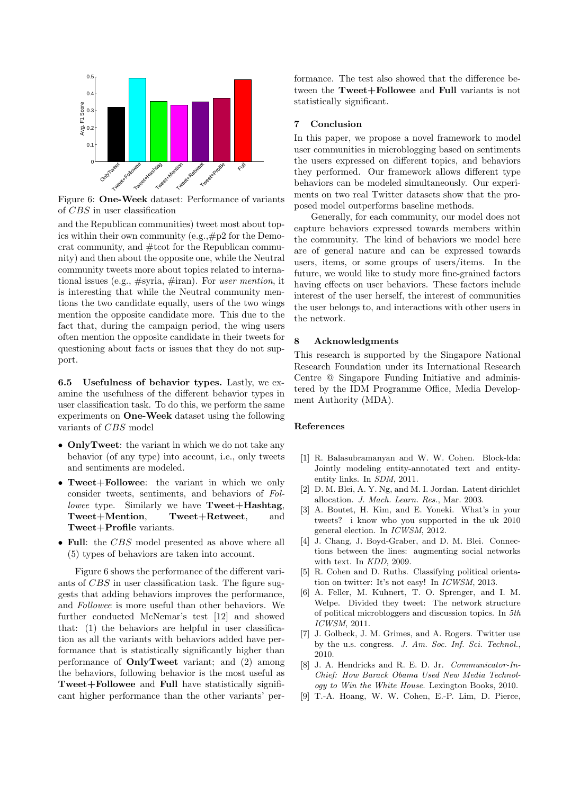

Figure 6: **One-Week** dataset: Performance of variants of *CBS* in user classification

and the Republican communities) tweet most about topics within their own community (e.g.,#p2 for the Democrat community, and #tcot for the Republican community) and then about the opposite one, while the Neutral community tweets more about topics related to international issues (e.g., #syria, #iran). For *user mention*, it is interesting that while the Neutral community mentions the two candidate equally, users of the two wings mention the opposite candidate more. This due to the fact that, during the campaign period, the wing users often mention the opposite candidate in their tweets for questioning about facts or issues that they do not support.

**6.5 Usefulness of behavior types.** Lastly, we examine the usefulness of the different behavior types in user classification task. To do this, we perform the same experiments on **One-Week** dataset using the following variants of *CBS* model

- *•* **OnlyTweet**: the variant in which we do not take any behavior (of any type) into account, i.e., only tweets and sentiments are modeled.
- *•* **Tweet+Followee**: the variant in which we only consider tweets, sentiments, and behaviors of *Followee* type. Similarly we have **Tweet+Hashtag**, **Tweet+Mention**, **Tweet+Retweet**, and **Tweet+Profile** variants.
- *•* **Full**: the *CBS* model presented as above where all (5) types of behaviors are taken into account.

Figure 6 shows the performance of the different variants of *CBS* in user classification task. The figure suggests that adding behaviors improves the performance, and *Followee* is more useful than other behaviors. We further conducted McNemar's test [12] and showed that: (1) the behaviors are helpful in user classification as all the variants with behaviors added have performance that is statistically significantly higher than performance of **OnlyTweet** variant; and (2) among the behaviors, following behavior is the most useful as **Tweet+Followee** and **Full** have statistically significant higher performance than the other variants' performance. The test also showed that the difference between the **Tweet+Followee** and **Full** variants is not statistically significant.

# **7 Conclusion**

In this paper, we propose a novel framework to model user communities in microblogging based on sentiments the users expressed on different topics, and behaviors they performed. Our framework allows different type behaviors can be modeled simultaneously. Our experiments on two real Twitter datasets show that the proposed model outperforms baseline methods.

Generally, for each community, our model does not capture behaviors expressed towards members within the community. The kind of behaviors we model here are of general nature and can be expressed towards users, items, or some groups of users/items. In the future, we would like to study more fine-grained factors having effects on user behaviors. These factors include interest of the user herself, the interest of communities the user belongs to, and interactions with other users in the network.

# **8 Acknowledgments**

This research is supported by the Singapore National Research Foundation under its International Research Centre @ Singapore Funding Initiative and administered by the IDM Programme Office, Media Development Authority (MDA).

# **References**

- [1] R. Balasubramanyan and W. W. Cohen. Block-lda: Jointly modeling entity-annotated text and entityentity links. In *SDM*, 2011.
- [2] D. M. Blei, A. Y. Ng, and M. I. Jordan. Latent dirichlet allocation. *J. Mach. Learn. Res.*, Mar. 2003.
- [3] A. Boutet, H. Kim, and E. Yoneki. What's in your tweets? i know who you supported in the uk 2010 general election. In *ICWSM*, 2012.
- [4] J. Chang, J. Boyd-Graber, and D. M. Blei. Connections between the lines: augmenting social networks with text. In *KDD*, 2009.
- [5] R. Cohen and D. Ruths. Classifying political orientation on twitter: It's not easy! In *ICWSM*, 2013.
- [6] A. Feller, M. Kuhnert, T. O. Sprenger, and I. M. Welpe. Divided they tweet: The network structure of political microbloggers and discussion topics. In *5th ICWSM*, 2011.
- [7] J. Golbeck, J. M. Grimes, and A. Rogers. Twitter use by the u.s. congress. *J. Am. Soc. Inf. Sci. Technol.*, 2010.
- [8] J. A. Hendricks and R. E. D. Jr. *Communicator-In-Chief: How Barack Obama Used New Media Technology to Win the White House*. Lexington Books, 2010.
- [9] T.-A. Hoang, W. W. Cohen, E.-P. Lim, D. Pierce,